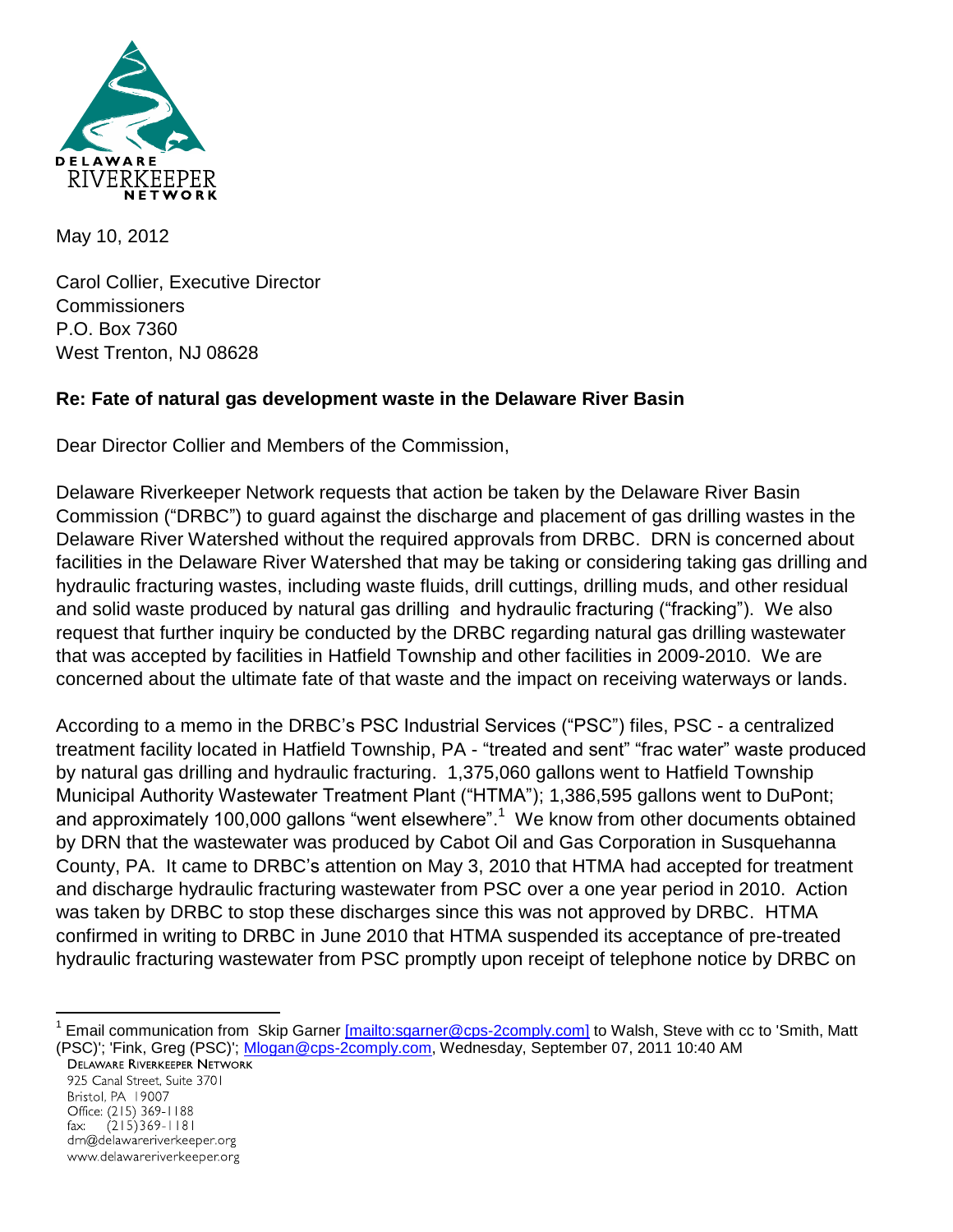

May 10, 2012

Carol Collier, Executive Director Commissioners P.O. Box 7360 West Trenton, NJ 08628

## **Re: Fate of natural gas development waste in the Delaware River Basin**

Dear Director Collier and Members of the Commission,

Delaware Riverkeeper Network requests that action be taken by the Delaware River Basin Commission ("DRBC") to guard against the discharge and placement of gas drilling wastes in the Delaware River Watershed without the required approvals from DRBC. DRN is concerned about facilities in the Delaware River Watershed that may be taking or considering taking gas drilling and hydraulic fracturing wastes, including waste fluids, drill cuttings, drilling muds, and other residual and solid waste produced by natural gas drilling and hydraulic fracturing ("fracking"). We also request that further inquiry be conducted by the DRBC regarding natural gas drilling wastewater that was accepted by facilities in Hatfield Township and other facilities in 2009-2010. We are concerned about the ultimate fate of that waste and the impact on receiving waterways or lands.

According to a memo in the DRBC's PSC Industrial Services ("PSC") files, PSC - a centralized treatment facility located in Hatfield Township, PA - "treated and sent" "frac water" waste produced by natural gas drilling and hydraulic fracturing. 1,375,060 gallons went to Hatfield Township Municipal Authority Wastewater Treatment Plant ("HTMA"); 1,386,595 gallons went to DuPont; and approximately 100,000 gallons "went elsewhere".<sup>1</sup> We know from other documents obtained by DRN that the wastewater was produced by Cabot Oil and Gas Corporation in Susquehanna County, PA. It came to DRBC's attention on May 3, 2010 that HTMA had accepted for treatment and discharge hydraulic fracturing wastewater from PSC over a one year period in 2010. Action was taken by DRBC to stop these discharges since this was not approved by DRBC. HTMA confirmed in writing to DRBC in June 2010 that HTMA suspended its acceptance of pre-treated hydraulic fracturing wastewater from PSC promptly upon receipt of telephone notice by DRBC on

 1 Email communication from Skip Garner [\[mailto:sgarner@cps-2comply.com\]](mailto:[mailto:sgarner@cps-2comply.com]) to Walsh, Steve with cc to 'Smith, Matt (PSC)'; 'Fink, Greg (PSC)'; [Mlogan@cps-2comply.com,](mailto:Mlogan@cps-2comply.com) Wednesday, September 07, 2011 10:40 AM

925 Canal Street, Suite 3701 Bristol, PA 19007 Office: (215) 369-1188  $(215)369 - 1181$  $\mathsf{fax:}$ drn@delawareriverkeeper.org www.delawareriverkeeper.org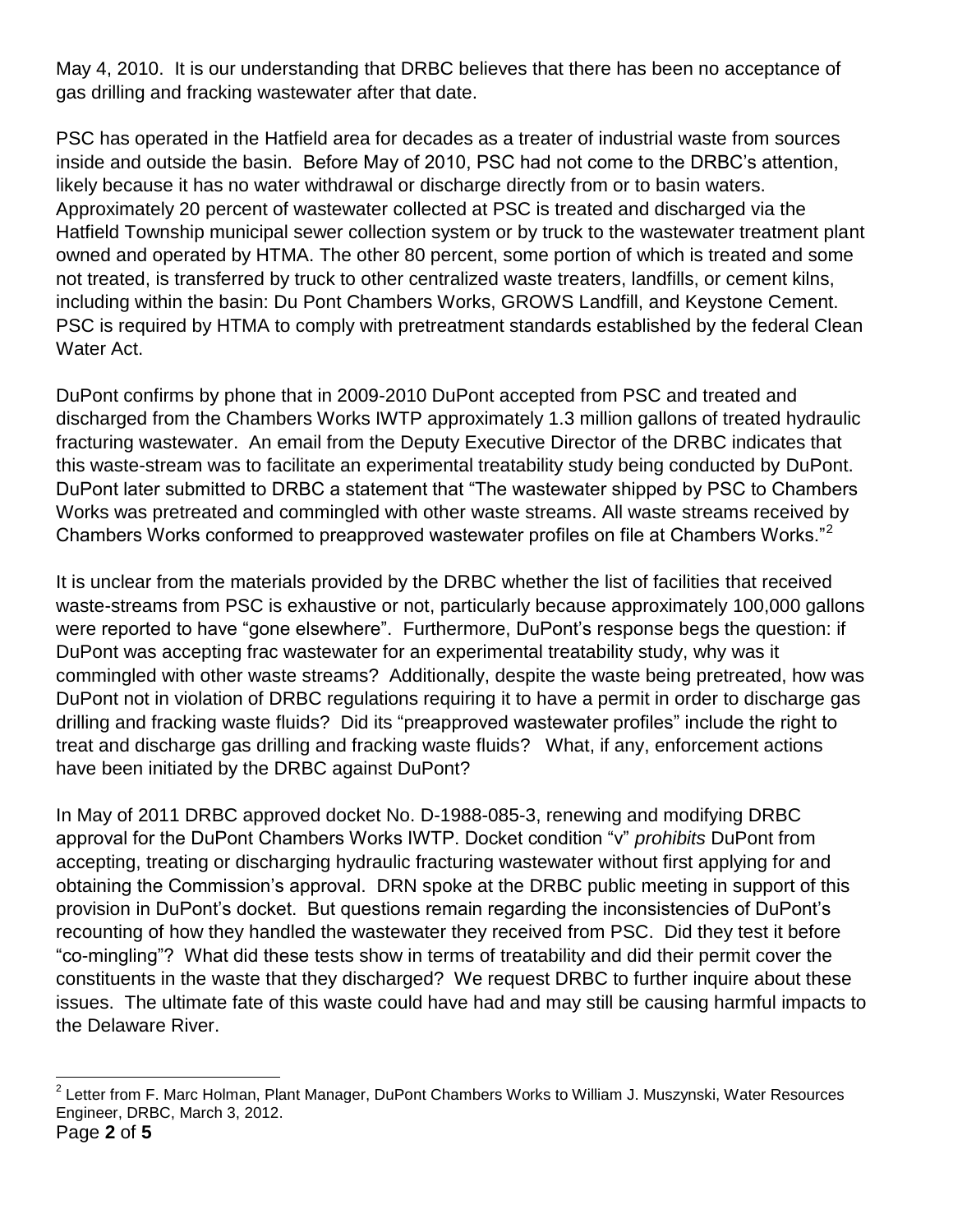May 4, 2010. It is our understanding that DRBC believes that there has been no acceptance of gas drilling and fracking wastewater after that date.

PSC has operated in the Hatfield area for decades as a treater of industrial waste from sources inside and outside the basin. Before May of 2010, PSC had not come to the DRBC's attention, likely because it has no water withdrawal or discharge directly from or to basin waters. Approximately 20 percent of wastewater collected at PSC is treated and discharged via the Hatfield Township municipal sewer collection system or by truck to the wastewater treatment plant owned and operated by HTMA. The other 80 percent, some portion of which is treated and some not treated, is transferred by truck to other centralized waste treaters, landfills, or cement kilns, including within the basin: Du Pont Chambers Works, GROWS Landfill, and Keystone Cement. PSC is required by HTMA to comply with pretreatment standards established by the federal Clean Water Act.

DuPont confirms by phone that in 2009-2010 DuPont accepted from PSC and treated and discharged from the Chambers Works IWTP approximately 1.3 million gallons of treated hydraulic fracturing wastewater. An email from the Deputy Executive Director of the DRBC indicates that this waste-stream was to facilitate an experimental treatability study being conducted by DuPont. DuPont later submitted to DRBC a statement that "The wastewater shipped by PSC to Chambers Works was pretreated and commingled with other waste streams. All waste streams received by Chambers Works conformed to preapproved wastewater profiles on file at Chambers Works."<sup>2</sup>

It is unclear from the materials provided by the DRBC whether the list of facilities that received waste-streams from PSC is exhaustive or not, particularly because approximately 100,000 gallons were reported to have "gone elsewhere". Furthermore, DuPont's response begs the question: if DuPont was accepting frac wastewater for an experimental treatability study, why was it commingled with other waste streams? Additionally, despite the waste being pretreated, how was DuPont not in violation of DRBC regulations requiring it to have a permit in order to discharge gas drilling and fracking waste fluids? Did its "preapproved wastewater profiles" include the right to treat and discharge gas drilling and fracking waste fluids? What, if any, enforcement actions have been initiated by the DRBC against DuPont?

In May of 2011 DRBC approved docket No. D-1988-085-3, renewing and modifying DRBC approval for the DuPont Chambers Works IWTP. Docket condition "v" *prohibits* DuPont from accepting, treating or discharging hydraulic fracturing wastewater without first applying for and obtaining the Commission's approval. DRN spoke at the DRBC public meeting in support of this provision in DuPont's docket. But questions remain regarding the inconsistencies of DuPont's recounting of how they handled the wastewater they received from PSC. Did they test it before "co-mingling"? What did these tests show in terms of treatability and did their permit cover the constituents in the waste that they discharged? We request DRBC to further inquire about these issues. The ultimate fate of this waste could have had and may still be causing harmful impacts to the Delaware River.

Page **2** of **5** 2 Letter from F. Marc Holman, Plant Manager, DuPont Chambers Works to William J. Muszynski, Water Resources Engineer, DRBC, March 3, 2012.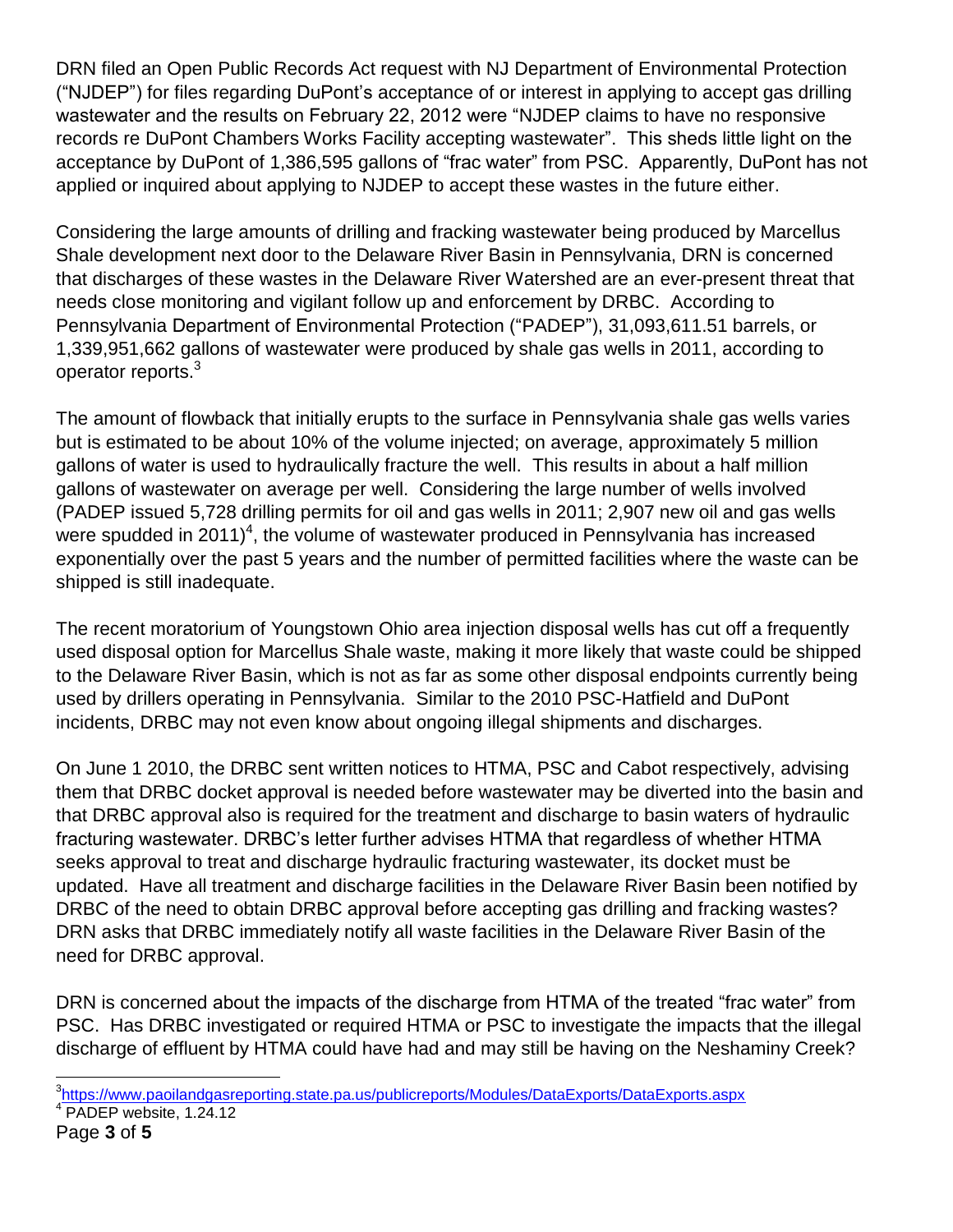DRN filed an Open Public Records Act request with NJ Department of Environmental Protection ("NJDEP") for files regarding DuPont's acceptance of or interest in applying to accept gas drilling wastewater and the results on February 22, 2012 were "NJDEP claims to have no responsive records re DuPont Chambers Works Facility accepting wastewater". This sheds little light on the acceptance by DuPont of 1,386,595 gallons of "frac water" from PSC. Apparently, DuPont has not applied or inquired about applying to NJDEP to accept these wastes in the future either.

Considering the large amounts of drilling and fracking wastewater being produced by Marcellus Shale development next door to the Delaware River Basin in Pennsylvania, DRN is concerned that discharges of these wastes in the Delaware River Watershed are an ever-present threat that needs close monitoring and vigilant follow up and enforcement by DRBC. According to Pennsylvania Department of Environmental Protection ("PADEP"), 31,093,611.51 barrels, or 1,339,951,662 gallons of wastewater were produced by shale gas wells in 2011, according to operator reports. $3$ 

The amount of flowback that initially erupts to the surface in Pennsylvania shale gas wells varies but is estimated to be about 10% of the volume injected; on average, approximately 5 million gallons of water is used to hydraulically fracture the well. This results in about a half million gallons of wastewater on average per well. Considering the large number of wells involved (PADEP issued 5,728 drilling permits for oil and gas wells in 2011; 2,907 new oil and gas wells were spudded in 2011)<sup>4</sup>, the volume of wastewater produced in Pennsylvania has increased exponentially over the past 5 years and the number of permitted facilities where the waste can be shipped is still inadequate.

The recent moratorium of Youngstown Ohio area injection disposal wells has cut off a frequently used disposal option for Marcellus Shale waste, making it more likely that waste could be shipped to the Delaware River Basin, which is not as far as some other disposal endpoints currently being used by drillers operating in Pennsylvania. Similar to the 2010 PSC-Hatfield and DuPont incidents, DRBC may not even know about ongoing illegal shipments and discharges.

On June 1 2010, the DRBC sent written notices to HTMA, PSC and Cabot respectively, advising them that DRBC docket approval is needed before wastewater may be diverted into the basin and that DRBC approval also is required for the treatment and discharge to basin waters of hydraulic fracturing wastewater. DRBC's letter further advises HTMA that regardless of whether HTMA seeks approval to treat and discharge hydraulic fracturing wastewater, its docket must be updated. Have all treatment and discharge facilities in the Delaware River Basin been notified by DRBC of the need to obtain DRBC approval before accepting gas drilling and fracking wastes? DRN asks that DRBC immediately notify all waste facilities in the Delaware River Basin of the need for DRBC approval.

DRN is concerned about the impacts of the discharge from HTMA of the treated "frac water" from PSC. Has DRBC investigated or required HTMA or PSC to investigate the impacts that the illegal discharge of effluent by HTMA could have had and may still be having on the Neshaminy Creek?

 $\overline{a}$ 

<sup>&</sup>lt;sup>3</sup>https://www.paoilandgasreporting.state.pa.us/publicreports/Modules/DataExports/DataExports.aspx <sup>4</sup> PADEP website, 1.24.12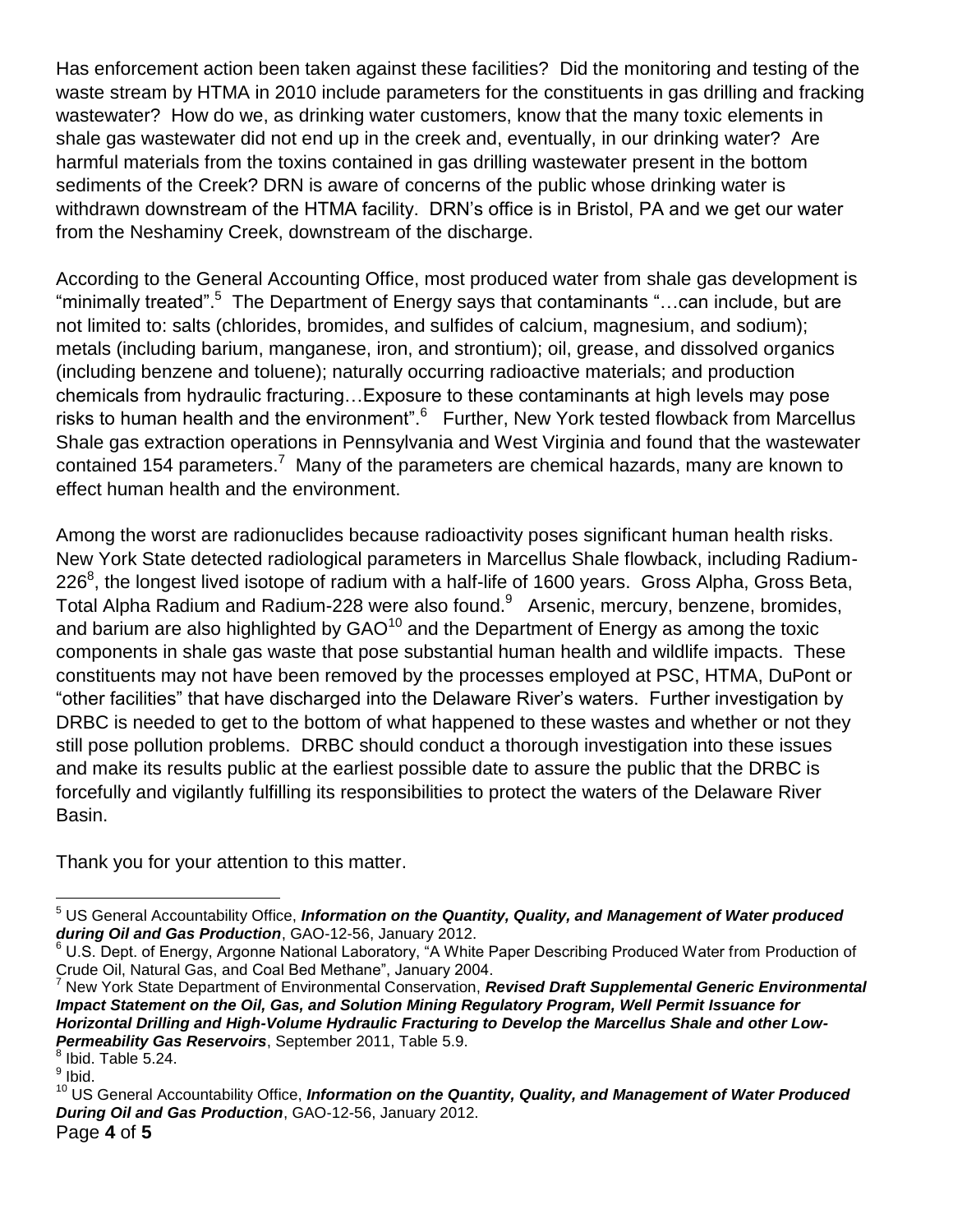Has enforcement action been taken against these facilities? Did the monitoring and testing of the waste stream by HTMA in 2010 include parameters for the constituents in gas drilling and fracking wastewater? How do we, as drinking water customers, know that the many toxic elements in shale gas wastewater did not end up in the creek and, eventually, in our drinking water? Are harmful materials from the toxins contained in gas drilling wastewater present in the bottom sediments of the Creek? DRN is aware of concerns of the public whose drinking water is withdrawn downstream of the HTMA facility. DRN's office is in Bristol, PA and we get our water from the Neshaminy Creek, downstream of the discharge.

According to the General Accounting Office, most produced water from shale gas development is "minimally treated".<sup>5</sup> The Department of Energy says that contaminants "...can include, but are not limited to: salts (chlorides, bromides, and sulfides of calcium, magnesium, and sodium); metals (including barium, manganese, iron, and strontium); oil, grease, and dissolved organics (including benzene and toluene); naturally occurring radioactive materials; and production chemicals from hydraulic fracturing…Exposure to these contaminants at high levels may pose risks to human health and the environment".<sup>6</sup> Further, New York tested flowback from Marcellus Shale gas extraction operations in Pennsylvania and West Virginia and found that the wastewater contained 154 parameters.<sup>7</sup> Many of the parameters are chemical hazards, many are known to effect human health and the environment.

Among the worst are radionuclides because radioactivity poses significant human health risks. New York State detected radiological parameters in Marcellus Shale flowback, including Radium-226<sup>8</sup>, the longest lived isotope of radium with a half-life of 1600 years. Gross Alpha, Gross Beta, Total Alpha Radium and Radium-228 were also found.<sup>9</sup> Arsenic, mercury, benzene, bromides, and barium are also highlighted by  $GAO^{10}$  and the Department of Energy as among the toxic components in shale gas waste that pose substantial human health and wildlife impacts. These constituents may not have been removed by the processes employed at PSC, HTMA, DuPont or "other facilities" that have discharged into the Delaware River's waters. Further investigation by DRBC is needed to get to the bottom of what happened to these wastes and whether or not they still pose pollution problems. DRBC should conduct a thorough investigation into these issues and make its results public at the earliest possible date to assure the public that the DRBC is forcefully and vigilantly fulfilling its responsibilities to protect the waters of the Delaware River Basin.

Thank you for your attention to this matter.

<sup>7</sup> New York State Department of Environmental Conservation, *Revised Draft Supplemental Generic Environmental Impact Statement on the Oil, Gas, and Solution Mining Regulatory Program, Well Permit Issuance for Horizontal Drilling and High-Volume Hydraulic Fracturing to Develop the Marcellus Shale and other Low-Permeability Gas Reservoirs*, September 2011, Table 5.9.  $<sup>8</sup>$  Ibid. Table 5.24.</sup>

 $\overline{a}$ <sup>5</sup> US General Accountability Office, *Information on the Quantity, Quality, and Management of Water produced during Oil and Gas Production*, GAO-12-56, January 2012.

<sup>6</sup> U.S. Dept. of Energy, Argonne National Laboratory, "A White Paper Describing Produced Water from Production of Crude Oil, Natural Gas, and Coal Bed Methane", January 2004.

<sup>&</sup>lt;sup>9</sup> Ibid.

<sup>&</sup>lt;sup>10</sup> US General Accountability Office, *Information on the Quantity, Quality, and Management of Water Produced During Oil and Gas Production*, GAO-12-56, January 2012.